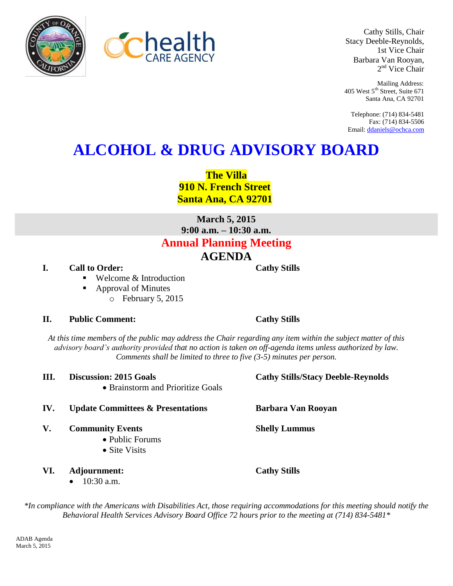



Cathy Stills, Chair Stacy Deeble-Reynolds, 1st Vice Chair Barbara Van Rooyan, 2<sup>nd</sup> Vice Chair

Mailing Address: 405 West 5<sup>th</sup> Street, Suite 671 Santa Ana, CA 92701

Telephone: (714) 834-5481 Fax: (714) 834-5506 Email[: ddaniels@ochca.com](mailto:ddaniels@ochca.com)

# **ALCOHOL & DRUG ADVISORY BOARD**

**The Villa 910 N. French Street Santa Ana, CA 92701**

**March 5, 2015 9:00 a.m. – 10:30 a.m. Annual Planning Meeting AGENDA**

- **I.** Call to Order: Cathy Stills
	- Welcome & Introduction
	- Approval of Minutes
		- o February 5, 2015

### **II. Public Comment: Cathy Stills**

*At this time members of the public may address the Chair regarding any item within the subject matter of this advisory board's authority provided that no action is taken on off-agenda items unless authorized by law. Comments shall be limited to three to five (3-5) minutes per person.*

**III. Discussion: 2015 Goals Cathy Stills/Stacy Deeble-Reynolds**  Brainstorm and Prioritize Goals

#### **IV. Update Committees & Presentations Barbara Van Rooyan**

- **V. Community Events Shelly Lummus**
	- Public Forums
	- Site Visits
- **VI. Adjournment: Cathy Stills** 
	- $\bullet$  10:30 a.m.

*\*In compliance with the Americans with Disabilities Act, those requiring accommodations for this meeting should notify the Behavioral Health Services Advisory Board Office 72 hours prior to the meeting at (714) 834-5481\**